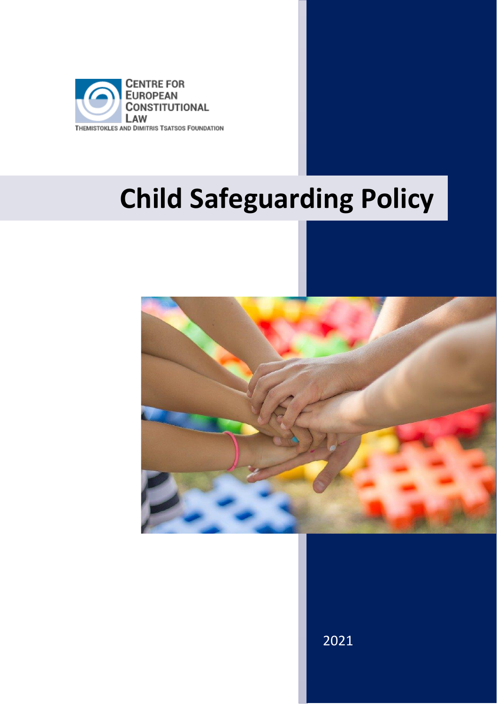

# **Child Safeguarding Policy**



2021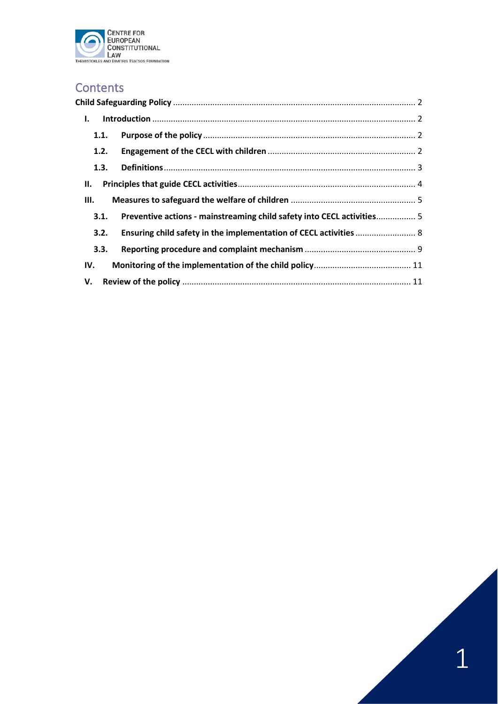

# **Contents**

| Ι.   |                                                                        |  |
|------|------------------------------------------------------------------------|--|
| 1.1. |                                                                        |  |
| 1.2. |                                                                        |  |
| 1.3. |                                                                        |  |
| Н.   |                                                                        |  |
| Ш.   |                                                                        |  |
| 3.1. | Preventive actions - mainstreaming child safety into CECL activities 5 |  |
| 3.2. | Ensuring child safety in the implementation of CECL activities  8      |  |
| 3.3. |                                                                        |  |
| IV.  |                                                                        |  |
| V.   |                                                                        |  |

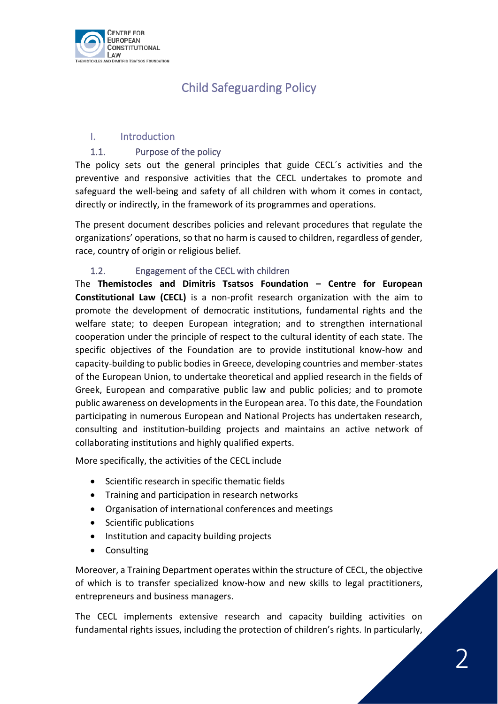<span id="page-2-0"></span>

# Child Safeguarding Policy

# <span id="page-2-1"></span>I. Introduction

# 1.1. Purpose of the policy

<span id="page-2-2"></span>The policy sets out the general principles that guide CECL´s activities and the preventive and responsive activities that the CECL undertakes to promote and safeguard the well-being and safety of all children with whom it comes in contact, directly or indirectly, in the framework of its programmes and operations.

The present document describes policies and relevant procedures that regulate the organizations' operations, so that no harm is caused to children, regardless of gender, race, country of origin or religious belief.

# 1.2. Engagement of the CECL with children

<span id="page-2-3"></span>The **Themistocles and Dimitris Tsatsos Foundation – Centre for European Constitutional Law (CECL)** is a non-profit research organization with the aim to promote the development of democratic institutions, fundamental rights and the welfare state; to deepen European integration; and to strengthen international cooperation under the principle of respect to the cultural identity of each state. The specific objectives of the Foundation are to provide institutional know-how and capacity-building to public bodies in Greece, developing countries and member-states of the European Union, to undertake theoretical and applied research in the fields of Greek, European and comparative public law and public policies; and to promote public awareness on developments in the European area. To this date, the Foundation participating in numerous European and National Projects has undertaken research, consulting and institution-building projects and maintains an active network of collaborating institutions and highly qualified experts.

More specifically, the activities of the CECL include

- Scientific research in specific thematic fields
- Training and participation in research networks
- Organisation of international conferences and meetings
- Scientific publications
- Institution and capacity building projects
- Consulting

Moreover, a Training Department operates within the structure of CECL, the objective of which is to transfer specialized know-how and new skills to legal practitioners, entrepreneurs and business managers.

The CECL implements extensive research and capacity building activities on fundamental rights issues, including the protection of children's rights. In particularly,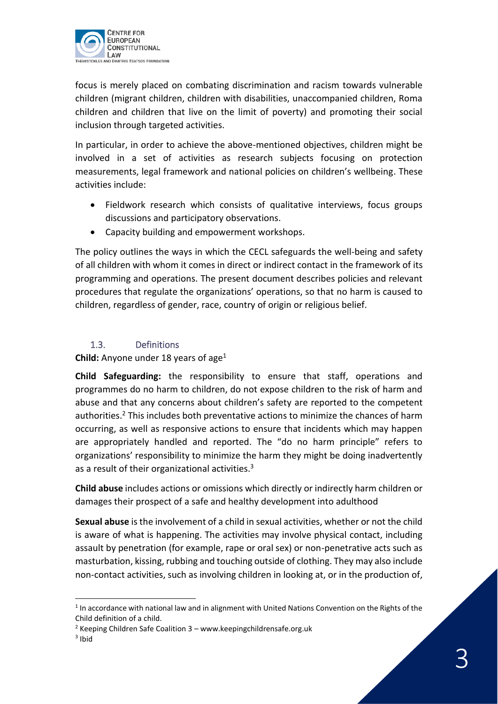

focus is merely placed on combating discrimination and racism towards vulnerable children (migrant children, children with disabilities, unaccompanied children, Roma children and children that live on the limit of poverty) and promoting their social inclusion through targeted activities.

In particular, in order to achieve the above-mentioned objectives, children might be involved in a set of activities as research subjects focusing on protection measurements, legal framework and national policies on children's wellbeing. These activities include:

- Fieldwork research which consists of qualitative interviews, focus groups discussions and participatory observations.
- Capacity building and empowerment workshops.

The policy outlines the ways in which the CECL safeguards the well-being and safety of all children with whom it comes in direct or indirect contact in the framework of its programming and operations. The present document describes policies and relevant procedures that regulate the organizations' operations, so that no harm is caused to children, regardless of gender, race, country of origin or religious belief.

# 1.3. Definitions

<span id="page-3-0"></span>**Child:** Anyone under 18 years of age<sup>1</sup>

**Child Safeguarding:** the responsibility to ensure that staff, operations and programmes do no harm to children, do not expose children to the risk of harm and abuse and that any concerns about children's safety are reported to the competent authorities.<sup>2</sup> This includes both preventative actions to minimize the chances of harm occurring, as well as responsive actions to ensure that incidents which may happen are appropriately handled and reported. The "do no harm principle" refers to organizations' responsibility to minimize the harm they might be doing inadvertently as a result of their organizational activities.<sup>3</sup>

**Child abuse** includes actions or omissions which directly or indirectly harm children or damages their prospect of a safe and healthy development into adulthood

**Sexual abuse** is the involvement of a child in sexual activities, whether or not the child is aware of what is happening. The activities may involve physical contact, including assault by penetration (for example, rape or oral sex) or non-penetrative acts such as masturbation, kissing, rubbing and touching outside of clothing. They may also include non-contact activities, such as involving children in looking at, or in the production of,

 $<sup>1</sup>$  In accordance with national law and in alignment with United Nations Convention on the Rights of the</sup> Child definition of a child.

 $2$  Keeping Children Safe Coalition  $3$  – www.keepingchildrensafe.org.uk

<sup>3</sup> Ibid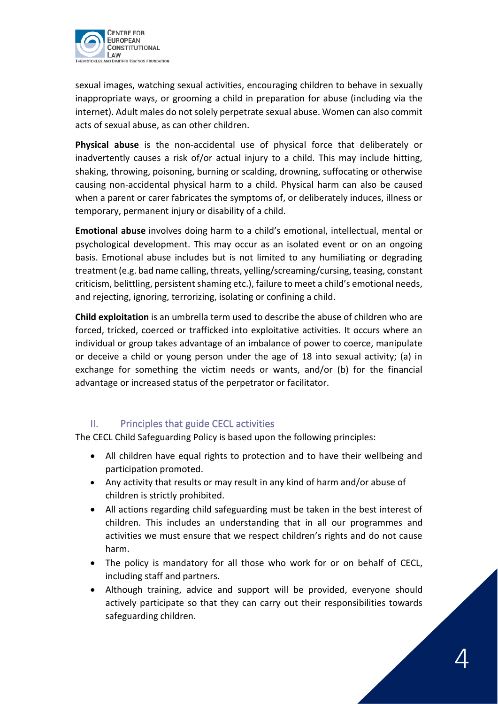

sexual images, watching sexual activities, encouraging children to behave in sexually inappropriate ways, or grooming a child in preparation for abuse (including via the internet). Adult males do not solely perpetrate sexual abuse. Women can also commit acts of sexual abuse, as can other children.

**Physical abuse** is the non-accidental use of physical force that deliberately or inadvertently causes a risk of/or actual injury to a child. This may include hitting, shaking, throwing, poisoning, burning or scalding, drowning, suffocating or otherwise causing non-accidental physical harm to a child. Physical harm can also be caused when a parent or carer fabricates the symptoms of, or deliberately induces, illness or temporary, permanent injury or disability of a child.

**Emotional abuse** involves doing harm to a child's emotional, intellectual, mental or psychological development. This may occur as an isolated event or on an ongoing basis. Emotional abuse includes but is not limited to any humiliating or degrading treatment (e.g. bad name calling, threats, yelling/screaming/cursing, teasing, constant criticism, belittling, persistent shaming etc.), failure to meet a child's emotional needs, and rejecting, ignoring, terrorizing, isolating or confining a child.

**Child exploitation** is an umbrella term used to describe the abuse of children who are forced, tricked, coerced or trafficked into exploitative activities. It occurs where an individual or group takes advantage of an imbalance of power to coerce, manipulate or deceive a child or young person under the age of 18 into sexual activity; (a) in exchange for something the victim needs or wants, and/or (b) for the financial advantage or increased status of the perpetrator or facilitator.

# II. Principles that guide CECL activities

<span id="page-4-0"></span>The CECL Child Safeguarding Policy is based upon the following principles:

- All children have equal rights to protection and to have their wellbeing and participation promoted.
- Any activity that results or may result in any kind of harm and/or abuse of children is strictly prohibited.
- All actions regarding child safeguarding must be taken in the best interest of children. This includes an understanding that in all our programmes and activities we must ensure that we respect children's rights and do not cause harm.
- The policy is mandatory for all those who work for or on behalf of CECL, including staff and partners.
- Although training, advice and support will be provided, everyone should actively participate so that they can carry out their responsibilities towards safeguarding children.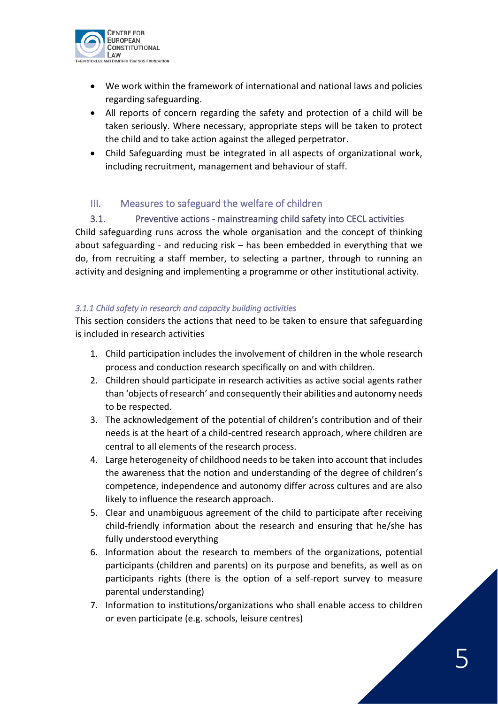

- We work within the framework of international and national laws and policies regarding safeguarding.
- All reports of concern regarding the safety and protection of a child will be taken seriously. Where necessary, appropriate steps will be taken to protect the child and to take action against the alleged perpetrator.
- Child Safeguarding must be integrated in all aspects of organizational work, including recruitment, management and behaviour of staff.

# <span id="page-5-0"></span>III. Measures to safeguard the welfare of children

<span id="page-5-1"></span>3.1. Preventive actions - mainstreaming child safety into CECL activities Child safeguarding runs across the whole organisation and the concept of thinking about safeguarding - and reducing risk – has been embedded in everything that we do, from recruiting a staff member, to selecting a partner, through to running an activity and designing and implementing a programme or other institutional activity.

# *3.1.1 Child safety in research and capacity building activities*

This section considers the actions that need to be taken to ensure that safeguarding is included in research activities

- 1. Child participation includes the involvement of children in the whole research process and conduction research specifically on and with children.
- 2. Children should participate in research activities as active social agents rather than 'objects of research' and consequently their abilities and autonomy needs to be respected.
- 3. The acknowledgement of the potential of children's contribution and of their needs is at the heart of a child-centred research approach, where children are central to all elements of the research process.
- 4. Large heterogeneity of childhood needs to be taken into account that includes the awareness that the notion and understanding of the degree of children's competence, independence and autonomy differ across cultures and are also likely to influence the research approach.
- 5. Clear and unambiguous agreement of the child to participate after receiving child-friendly information about the research and ensuring that he/she has fully understood everything
- 6. Information about the research to members of the organizations, potential participants (children and parents) on its purpose and benefits, as well as on participants rights (there is the option of a self-report survey to measure parental understanding)
- 7. Information to institutions/organizations who shall enable access to children or even participate (e.g. schools, leisure centres)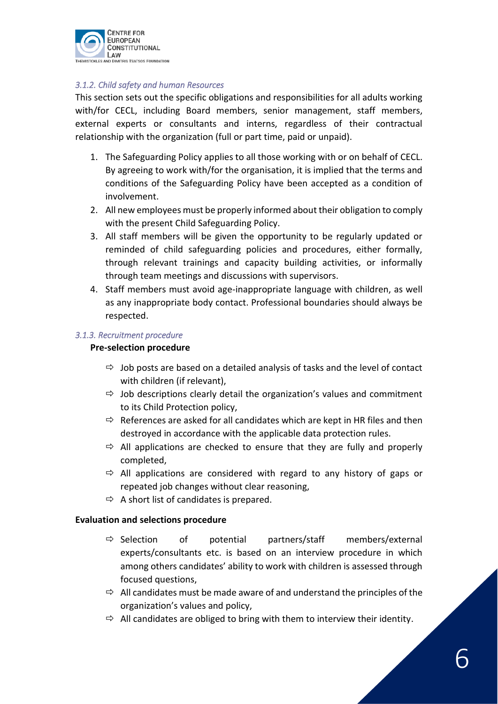

#### *3.1.2. Child safety and human Resources*

This section sets out the specific obligations and responsibilities for all adults working with/for CECL, including Board members, senior management, staff members, external experts or consultants and interns, regardless of their contractual relationship with the organization (full or part time, paid or unpaid).

- 1. The Safeguarding Policy applies to all those working with or on behalf of CECL. By agreeing to work with/for the organisation, it is implied that the terms and conditions of the Safeguarding Policy have been accepted as a condition of involvement.
- 2. All new employees must be properly informed about their obligation to comply with the present Child Safeguarding Policy.
- 3. All staff members will be given the opportunity to be regularly updated or reminded of child safeguarding policies and procedures, either formally, through relevant trainings and capacity building activities, or informally through team meetings and discussions with supervisors.
- 4. Staff members must avoid age-inappropriate language with children, as well as any inappropriate body contact. Professional boundaries should always be respected.

#### *3.1.3. Recruitment procedure*

#### **Pre-selection procedure**

- $\Rightarrow$  Job posts are based on a detailed analysis of tasks and the level of contact with children (if relevant),
- $\Rightarrow$  Job descriptions clearly detail the organization's values and commitment to its Child Protection policy,
- $\Rightarrow$  References are asked for all candidates which are kept in HR files and then destroyed in accordance with the applicable data protection rules.
- $\Rightarrow$  All applications are checked to ensure that they are fully and properly completed,
- $\Rightarrow$  All applications are considered with regard to any history of gaps or repeated job changes without clear reasoning,
- $\Rightarrow$  A short list of candidates is prepared.

#### **Evaluation and selections procedure**

- $\Rightarrow$  Selection of potential partners/staff members/external experts/consultants etc. is based on an interview procedure in which among others candidates' ability to work with children is assessed through focused questions,
- $\Rightarrow$  All candidates must be made aware of and understand the principles of the organization's values and policy,
- $\Rightarrow$  All candidates are obliged to bring with them to interview their identity.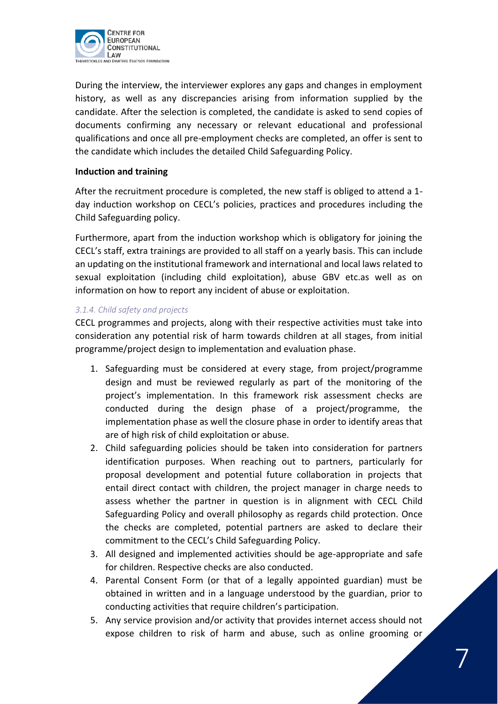

During the interview, the interviewer explores any gaps and changes in employment history, as well as any discrepancies arising from information supplied by the candidate. After the selection is completed, the candidate is asked to send copies of documents confirming any necessary or relevant educational and professional qualifications and once all pre-employment checks are completed, an offer is sent to the candidate which includes the detailed Child Safeguarding Policy.

#### **Induction and training**

After the recruitment procedure is completed, the new staff is obliged to attend a 1 day induction workshop on CECL's policies, practices and procedures including the Child Safeguarding policy.

Furthermore, apart from the induction workshop which is obligatory for joining the CECL's staff, extra trainings are provided to all staff on a yearly basis. This can include an updating on the institutional framework and international and local laws related to sexual exploitation (including child exploitation), abuse GBV etc.as well as on information on how to report any incident of abuse or exploitation.

#### *3.1.4. Child safety and projects*

CECL programmes and projects, along with their respective activities must take into consideration any potential risk of harm towards children at all stages, from initial programme/project design to implementation and evaluation phase.

- 1. Safeguarding must be considered at every stage, from project/programme design and must be reviewed regularly as part of the monitoring of the project's implementation. In this framework risk assessment checks are conducted during the design phase of a project/programme, the implementation phase as well the closure phase in order to identify areas that are of high risk of child exploitation or abuse.
- 2. Child safeguarding policies should be taken into consideration for partners identification purposes. When reaching out to partners, particularly for proposal development and potential future collaboration in projects that entail direct contact with children, the project manager in charge needs to assess whether the partner in question is in alignment with CECL Child Safeguarding Policy and overall philosophy as regards child protection. Once the checks are completed, potential partners are asked to declare their commitment to the CECL's Child Safeguarding Policy.
- 3. All designed and implemented activities should be age-appropriate and safe for children. Respective checks are also conducted.
- 4. Parental Consent Form (or that of a legally appointed guardian) must be obtained in written and in a language understood by the guardian, prior to conducting activities that require children's participation.
- 5. Any service provision and/or activity that provides internet access should not expose children to risk of harm and abuse, such as online grooming or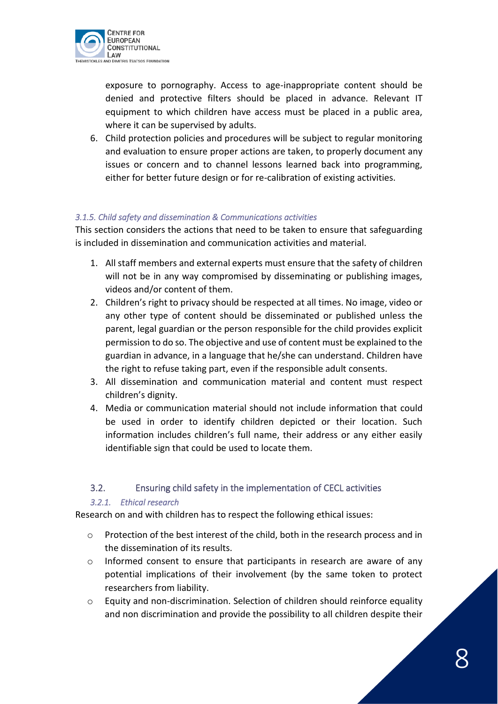

exposure to pornography. Access to age-inappropriate content should be denied and protective filters should be placed in advance. Relevant IT equipment to which children have access must be placed in a public area, where it can be supervised by adults.

6. Child protection policies and procedures will be subject to regular monitoring and evaluation to ensure proper actions are taken, to properly document any issues or concern and to channel lessons learned back into programming, either for better future design or for re-calibration of existing activities.

# *3.1.5. Child safety and dissemination & Communications activities*

This section considers the actions that need to be taken to ensure that safeguarding is included in dissemination and communication activities and material.

- 1. All staff members and external experts must ensure that the safety of children will not be in any way compromised by disseminating or publishing images, videos and/or content of them.
- 2. Children's right to privacy should be respected at all times. No image, video or any other type of content should be disseminated or published unless the parent, legal guardian or the person responsible for the child provides explicit permission to do so. The objective and use of content must be explained to the guardian in advance, in a language that he/she can understand. Children have the right to refuse taking part, even if the responsible adult consents.
- 3. All dissemination and communication material and content must respect children's dignity.
- 4. Media or communication material should not include information that could be used in order to identify children depicted or their location. Such information includes children's full name, their address or any either easily identifiable sign that could be used to locate them.

# <span id="page-8-0"></span>3.2. Ensuring child safety in the implementation of CECL activities

#### *3.2.1. Ethical research*

Research on and with children has to respect the following ethical issues:

- o Protection of the best interest of the child, both in the research process and in the dissemination of its results.
- $\circ$  Informed consent to ensure that participants in research are aware of any potential implications of their involvement (by the same token to protect researchers from liability.
- o Equity and non-discrimination. Selection of children should reinforce equality and non discrimination and provide the possibility to all children despite their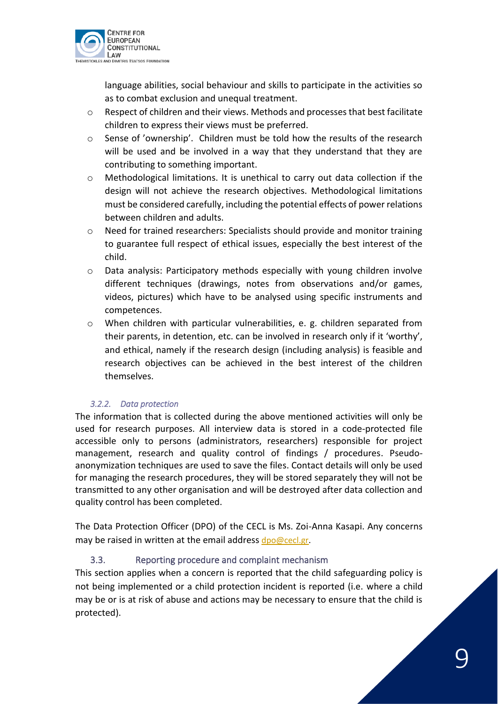

language abilities, social behaviour and skills to participate in the activities so as to combat exclusion and unequal treatment.

- o Respect of children and their views. Methods and processes that best facilitate children to express their views must be preferred.
- o Sense of 'ownership'. Children must be told how the results of the research will be used and be involved in a way that they understand that they are contributing to something important.
- o Methodological limitations. It is unethical to carry out data collection if the design will not achieve the research objectives. Methodological limitations must be considered carefully, including the potential effects of power relations between children and adults.
- o Need for trained researchers: Specialists should provide and monitor training to guarantee full respect of ethical issues, especially the best interest of the child.
- o Data analysis: Participatory methods especially with young children involve different techniques (drawings, notes from observations and/or games, videos, pictures) which have to be analysed using specific instruments and competences.
- $\circ$  When children with particular vulnerabilities, e. g. children separated from their parents, in detention, etc. can be involved in research only if it 'worthy', and ethical, namely if the research design (including analysis) is feasible and research objectives can be achieved in the best interest of the children themselves.

# *3.2.2. Data protection*

The information that is collected during the above mentioned activities will only be used for research purposes. All interview data is stored in a code-protected file accessible only to persons (administrators, researchers) responsible for project management, research and quality control of findings / procedures. Pseudoanonymization techniques are used to save the files. Contact details will only be used for managing the research procedures, they will be stored separately they will not be transmitted to any other organisation and will be destroyed after data collection and quality control has been completed.

The Data Protection Officer (DPO) of the CECL is Ms. Zoi-Anna Kasapi. Any concerns may be raised in written at the email address [dpo@cecl.gr.](mailto:dpo@cecl.gr)

# <span id="page-9-0"></span>3.3. Reporting procedure and complaint mechanism

This section applies when a concern is reported that the child safeguarding policy is not being implemented or a child protection incident is reported (i.e. where a child may be or is at risk of abuse and actions may be necessary to ensure that the child is protected).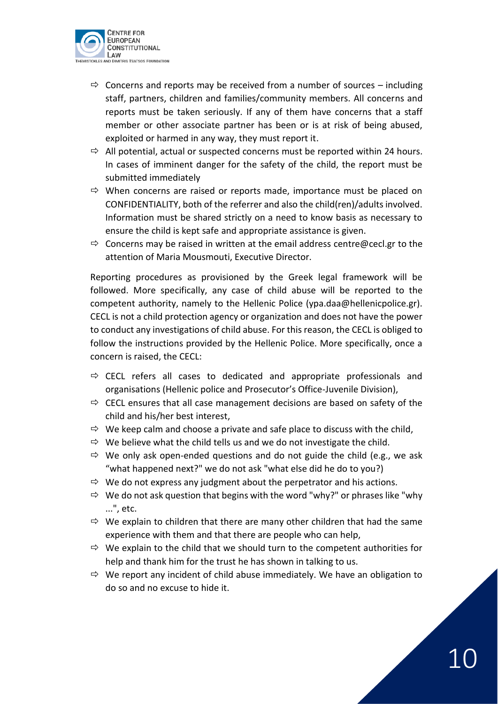

- $\Rightarrow$  Concerns and reports may be received from a number of sources including staff, partners, children and families/community members. All concerns and reports must be taken seriously. If any of them have concerns that a staff member or other associate partner has been or is at risk of being abused, exploited or harmed in any way, they must report it.
- $\Rightarrow$  All potential, actual or suspected concerns must be reported within 24 hours. In cases of imminent danger for the safety of the child, the report must be submitted immediately
- $\Rightarrow$  When concerns are raised or reports made, importance must be placed on CONFIDENTIALITY, both of the referrer and also the child(ren)/adults involved. Information must be shared strictly on a need to know basis as necessary to ensure the child is kept safe and appropriate assistance is given.
- $\Rightarrow$  Concerns may be raised in written at the email address centre@cecl.gr to the attention of Maria Mousmouti, Executive Director.

Reporting procedures as provisioned by the Greek legal framework will be followed. More specifically, any case of child abuse will be reported to the competent authority, namely to the Hellenic Police (ypa.daa@hellenicpolice.gr). CECL is not a child protection agency or organization and does not have the power to conduct any investigations of child abuse. For this reason, the CECL is obliged to follow the instructions provided by the Hellenic Police. More specifically, once a concern is raised, the CECL:

- $\Rightarrow$  CECL refers all cases to dedicated and appropriate professionals and organisations (Hellenic police and Prosecutor's Office-Juvenile Division),
- $\Rightarrow$  CECL ensures that all case management decisions are based on safety of the child and his/her best interest,
- $\Rightarrow$  We keep calm and choose a private and safe place to discuss with the child,
- $\Rightarrow$  We believe what the child tells us and we do not investigate the child.
- $\Rightarrow$  We only ask open-ended questions and do not guide the child (e.g., we ask "what happened next?" we do not ask "what else did he do to you?)
- $\Rightarrow$  We do not express any judgment about the perpetrator and his actions.
- $\Rightarrow$  We do not ask question that begins with the word "why?" or phrases like "why ...", etc.
- $\Rightarrow$  We explain to children that there are many other children that had the same experience with them and that there are people who can help,
- $\Rightarrow$  We explain to the child that we should turn to the competent authorities for help and thank him for the trust he has shown in talking to us.
- $\Rightarrow$  We report any incident of child abuse immediately. We have an obligation to do so and no excuse to hide it.